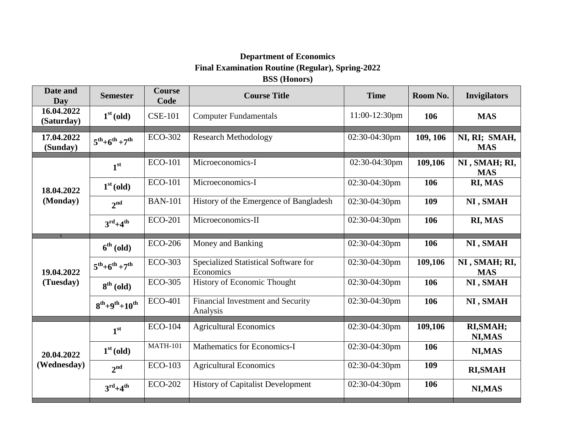## **Department of Economics Final Examination Routine (Regular), Spring-2022 BSS (Honors)**

| Date and<br>Day           | <b>Semester</b>                 | <b>Course</b><br>Code | <b>Course Title</b>                               | <b>Time</b>   | Room No. | <b>Invigilators</b>         |
|---------------------------|---------------------------------|-----------------------|---------------------------------------------------|---------------|----------|-----------------------------|
| 16.04.2022<br>(Saturday)  | 1 <sup>st</sup> (old)           | <b>CSE-101</b>        | 11:00-12:30pm<br><b>Computer Fundamentals</b>     |               | 106      | <b>MAS</b>                  |
| 17.04.2022<br>(Sunday)    | $5^{th}+6^{th}+7^{th}$          | <b>ECO-302</b>        | <b>Research Methodology</b>                       | 02:30-04:30pm | 109, 106 | NI, RI; SMAH,<br><b>MAS</b> |
| 18.04.2022<br>(Monday)    | 1 <sup>st</sup>                 | <b>ECO-101</b>        | Microeconomics-I                                  | 02:30-04:30pm | 109,106  | NI, SMAH; RI,<br><b>MAS</b> |
|                           | $1st$ (old)                     | <b>ECO-101</b>        | Microeconomics-I                                  | 02:30-04:30pm | 106      | RI, MAS                     |
|                           | 2 <sup>nd</sup>                 | <b>BAN-101</b>        | History of the Emergence of Bangladesh            | 02:30-04:30pm | 109      | NI, SMAH                    |
|                           | $3^{\text{rd}}+4^{\text{th}}$   | <b>ECO-201</b>        | Microeconomics-II                                 | 02:30-04:30pm | 106      | RI, MAS                     |
| 19.04.2022<br>(Tuesday)   | $6th$ (old)                     | <b>ECO-206</b>        | Money and Banking                                 | 02:30-04:30pm | 106      | NI, SMAH                    |
|                           | $5^{th} + 6^{th} + 7^{th}$      | <b>ECO-303</b>        | Specialized Statistical Software for<br>Economics | 02:30-04:30pm | 109,106  | NI, SMAH; RI,<br><b>MAS</b> |
|                           | $8th$ (old)                     | <b>ECO-305</b>        | <b>History of Economic Thought</b>                | 02:30-04:30pm | 106      | NI, SMAH                    |
|                           | $8^{th} + 9^{th} + 10^{th}$     | <b>ECO-401</b>        | Financial Investment and Security<br>Analysis     | 02:30-04:30pm | 106      | NI, SMAH                    |
| 20.04.2022<br>(Wednesday) | 1 <sup>st</sup>                 | <b>ECO-104</b>        | <b>Agricultural Economics</b>                     | 02:30-04:30pm | 109,106  | RI, SMAH;<br>NI, MAS        |
|                           | $1st$ (old)                     | <b>MATH-101</b>       | <b>Mathematics for Economics-I</b>                | 02:30-04:30pm | 106      | NI, MAS                     |
|                           | $2^{nd}$                        | <b>ECO-103</b>        | <b>Agricultural Economics</b>                     | 02:30-04:30pm | 109      | <b>RI, SMAH</b>             |
|                           | $3^{\text{rd}} + 4^{\text{th}}$ | <b>ECO-202</b>        | <b>History of Capitalist Development</b>          | 02:30-04:30pm | 106      | NI, MAS                     |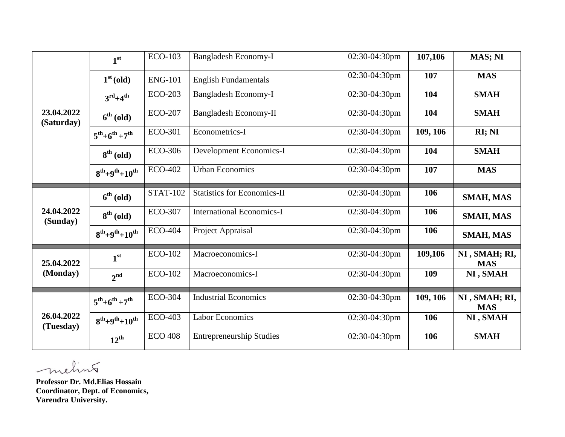|                          | 1 <sup>st</sup>                 | <b>ECO-103</b>  | Bangladesh Economy-I               | 02:30-04:30pm | 107,106  | MAS; NI                     |
|--------------------------|---------------------------------|-----------------|------------------------------------|---------------|----------|-----------------------------|
| 23.04.2022<br>(Saturday) | $1st$ (old)                     | <b>ENG-101</b>  | <b>English Fundamentals</b>        | 02:30-04:30pm | 107      | <b>MAS</b>                  |
|                          | $3^{\text{rd}} + 4^{\text{th}}$ | <b>ECO-203</b>  | <b>Bangladesh Economy-I</b>        | 02:30-04:30pm | 104      | <b>SMAH</b>                 |
|                          | $6^{th}$ (old)                  | <b>ECO-207</b>  | <b>Bangladesh Economy-II</b>       | 02:30-04:30pm | 104      | <b>SMAH</b>                 |
|                          | $5^{th}+6^{th}+7^{th}$          | <b>ECO-301</b>  | Econometrics-I                     | 02:30-04:30pm | 109, 106 | RI; NI                      |
|                          | $8th$ (old)                     | <b>ECO-306</b>  | Development Economics-I            | 02:30-04:30pm | 104      | <b>SMAH</b>                 |
| 24.04.2022<br>(Sunday)   | $8^{th} + 9^{th} + 10^{th}$     | <b>ECO-402</b>  | <b>Urban Economics</b>             | 02:30-04:30pm | 107      | <b>MAS</b>                  |
|                          | $6th$ (old)                     | <b>STAT-102</b> | <b>Statistics for Economics-II</b> | 02:30-04:30pm | 106      | SMAH, MAS                   |
|                          | $8th$ (old)                     | <b>ECO-307</b>  | <b>International Economics-I</b>   | 02:30-04:30pm | 106      | <b>SMAH, MAS</b>            |
| 25.04.2022               | $8^{th} + 9^{th} + 10^{th}$     | <b>ECO-404</b>  | Project Appraisal                  | 02:30-04:30pm | 106      | <b>SMAH, MAS</b>            |
|                          | 1 <sup>st</sup>                 | <b>ECO-102</b>  | Macroeconomics-I                   | 02:30-04:30pm | 109,106  | NI, SMAH; RI,<br><b>MAS</b> |
| (Monday)                 | 2 <sup>nd</sup>                 | <b>ECO-102</b>  | Macroeconomics-I                   | 02:30-04:30pm | 109      | NI, SMAH                    |
| 26.04.2022<br>(Tuesday)  | $5^{th}+6^{th}+7^{th}$          | <b>ECO-304</b>  | <b>Industrial Economics</b>        | 02:30-04:30pm | 109, 106 | NI, SMAH; RI,<br><b>MAS</b> |
|                          | $8^{th}+9^{th}+10^{th}$         | <b>ECO-403</b>  | <b>Labor Economics</b>             | 02:30-04:30pm | 106      | NI, SMAH                    |
|                          | $12^{th}$                       | <b>ECO 408</b>  | <b>Entrepreneurship Studies</b>    | 02:30-04:30pm | 106      | <b>SMAH</b>                 |

melint

**Professor Dr. Md.Elias Hossain Coordinator, Dept. of Economics, Varendra University.**